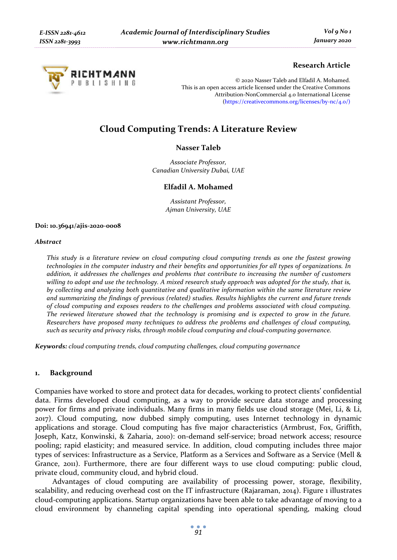

# **Research Article**

© 2020 Nasser Taleb and Elfadil A. Mohamed. This is an open access article licensed under the Creative Commons Attribution-NonCommercial 4.0 International License (https://creativecommons.org/licenses/by-nc/4.0/)

# **Cloud Computing Trends: A Literature Review**

## **Nasser Taleb**

*Associate Professor, Canadian University Dubai, UAE* 

### **Elfadil A. Mohamed**

*Assistant Professor, Ajman University, UAE* 

#### **Doi: 10.36941/ajis-2020-0008**

#### *Abstract*

*This study is a literature review on cloud computing cloud computing trends as one the fastest growing technologies in the computer industry and their benefits and opportunities for all types of organizations. In addition, it addresses the challenges and problems that contribute to increasing the number of customers willing to adopt and use the technology. A mixed research study approach was adopted for the study, that is, by collecting and analyzing both quantitative and qualitative information within the same literature review and summarizing the findings of previous (related) studies. Results highlights the current and future trends of cloud computing and exposes readers to the challenges and problems associated with cloud computing. The reviewed literature showed that the technology is promising and is expected to grow in the future. Researchers have proposed many techniques to address the problems and challenges of cloud computing, such as security and privacy risks, through mobile cloud computing and cloud-computing governance.* 

*Keywords: cloud computing trends, cloud computing challenges, cloud computing governance* 

# **1. Background**

Companies have worked to store and protect data for decades, working to protect clients' confidential data. Firms developed cloud computing, as a way to provide secure data storage and processing power for firms and private individuals. Many firms in many fields use cloud storage (Mei, Li, & Li, 2017). Cloud computing, now dubbed simply computing, uses Internet technology in dynamic applications and storage. Cloud computing has five major characteristics (Armbrust, Fox, Griffith, Joseph, Katz, Konwinski, & Zaharia, 2010): on-demand self-service; broad network access; resource pooling; rapid elasticity; and measured service. In addition, cloud computing includes three major types of services: Infrastructure as a Service, Platform as a Services and Software as a Service (Mell & Grance, 2011). Furthermore, there are four different ways to use cloud computing: public cloud, private cloud, community cloud, and hybrid cloud.

Advantages of cloud computing are availability of processing power, storage, flexibility, scalability, and reducing overhead cost on the IT infrastructure (Rajaraman, 2014). Figure 1 illustrates cloud-computing applications. Startup organizations have been able to take advantage of moving to a cloud environment by channeling capital spending into operational spending, making cloud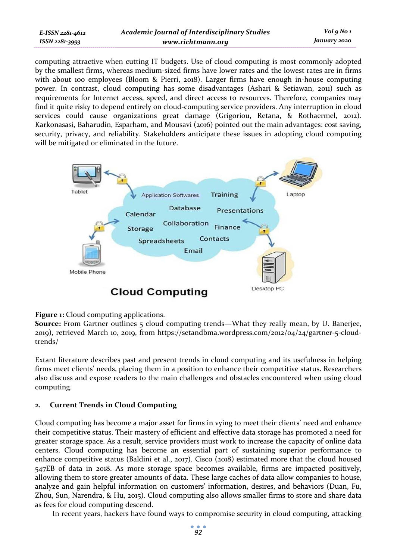computing attractive when cutting IT budgets. Use of cloud computing is most commonly adopted by the smallest firms, whereas medium-sized firms have lower rates and the lowest rates are in firms with about 100 employees (Bloom & Pierri, 2018). Larger firms have enough in-house computing power. In contrast, cloud computing has some disadvantages (Ashari & Setiawan, 2011) such as requirements for Internet access, speed, and direct access to resources. Therefore, companies may find it quite risky to depend entirely on cloud-computing service providers. Any interruption in cloud services could cause organizations great damage (Grigoriou, Retana, & Rothaermel, 2012). Karkonasasi, Baharudin, Esparham, and Mousavi (2016) pointed out the main advantages: cost saving, security, privacy, and reliability. Stakeholders anticipate these issues in adopting cloud computing will be mitigated or eliminated in the future.



# **Figure 1:** Cloud computing applications.

**Source:** From Gartner outlines 5 cloud computing trends—What they really mean, by U. Banerjee, 2019), retrieved March 10, 2019, from https://setandbma.wordpress.com/2012/04/24/gartner-5-cloudtrends/

Extant literature describes past and present trends in cloud computing and its usefulness in helping firms meet clients' needs, placing them in a position to enhance their competitive status. Researchers also discuss and expose readers to the main challenges and obstacles encountered when using cloud computing.

# **2. Current Trends in Cloud Computing**

Cloud computing has become a major asset for firms in vying to meet their clients' need and enhance their competitive status. Their mastery of efficient and effective data storage has promoted a need for greater storage space. As a result, service providers must work to increase the capacity of online data centers. Cloud computing has become an essential part of sustaining superior performance to enhance competitive status (Baldini et al., 2017). Cisco (2018) estimated more that the cloud housed 547EB of data in 2018. As more storage space becomes available, firms are impacted positively, allowing them to store greater amounts of data. These large caches of data allow companies to house, analyze and gain helpful information on customers' information, desires, and behaviors (Duan, Fu, Zhou, Sun, Narendra, & Hu, 2015). Cloud computing also allows smaller firms to store and share data as fees for cloud computing descend.

In recent years, hackers have found ways to compromise security in cloud computing, attacking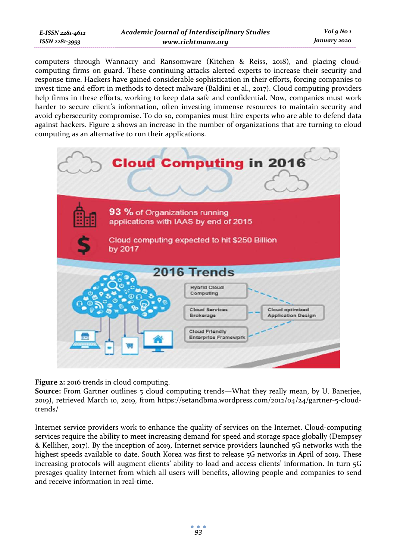| E-ISSN 2281-4612 |
|------------------|
| ISSN 2281-3993   |

computers through Wannacry and Ransomware (Kitchen & Reiss, 2018), and placing cloudcomputing firms on guard. These continuing attacks alerted experts to increase their security and response time. Hackers have gained considerable sophistication in their efforts, forcing companies to invest time and effort in methods to detect malware (Baldini et al., 2017). Cloud computing providers help firms in these efforts, working to keep data safe and confidential. Now, companies must work harder to secure client's information, often investing immense resources to maintain security and avoid cybersecurity compromise. To do so, companies must hire experts who are able to defend data against hackers. Figure 2 shows an increase in the number of organizations that are turning to cloud computing as an alternative to run their applications.



**Figure 2:** 2016 trends in cloud computing.

**Source:** From Gartner outlines 5 cloud computing trends—What they really mean, by U. Banerjee, 2019), retrieved March 10, 2019, from https://setandbma.wordpress.com/2012/04/24/gartner-5-cloudtrends/

Internet service providers work to enhance the quality of services on the Internet. Cloud-computing services require the ability to meet increasing demand for speed and storage space globally (Dempsey & Kelliher, 2017). By the inception of 2019, Internet service providers launched 5G networks with the highest speeds available to date. South Korea was first to release 5G networks in April of 2019. These increasing protocols will augment clients' ability to load and access clients' information. In turn 5G presages quality Internet from which all users will benefits, allowing people and companies to send and receive information in real-time.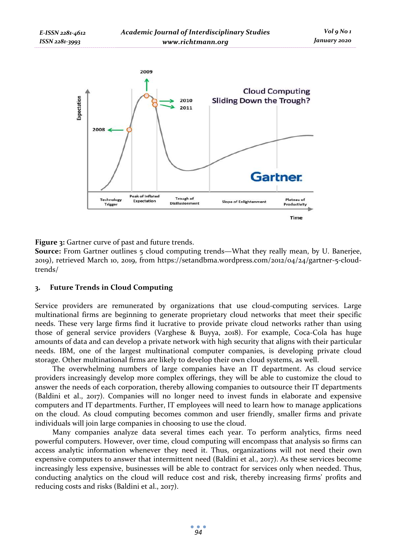

**Figure 3:** Gartner curve of past and future trends.

**Source:** From Gartner outlines 5 cloud computing trends—What they really mean, by U. Banerjee, 2019), retrieved March 10, 2019, from https://setandbma.wordpress.com/2012/04/24/gartner-5-cloudtrends/

# **3. Future Trends in Cloud Computing**

Service providers are remunerated by organizations that use cloud-computing services. Large multinational firms are beginning to generate proprietary cloud networks that meet their specific needs. These very large firms find it lucrative to provide private cloud networks rather than using those of general service providers (Varghese & Buyya, 2018). For example, Coca-Cola has huge amounts of data and can develop a private network with high security that aligns with their particular needs. IBM, one of the largest multinational computer companies, is developing private cloud storage. Other multinational firms are likely to develop their own cloud systems, as well.

The overwhelming numbers of large companies have an IT department. As cloud service providers increasingly develop more complex offerings, they will be able to customize the cloud to answer the needs of each corporation, thereby allowing companies to outsource their IT departments (Baldini et al., 2017). Companies will no longer need to invest funds in elaborate and expensive computers and IT departments. Further, IT employees will need to learn how to manage applications on the cloud. As cloud computing becomes common and user friendly, smaller firms and private individuals will join large companies in choosing to use the cloud.

Many companies analyze data several times each year. To perform analytics, firms need powerful computers. However, over time, cloud computing will encompass that analysis so firms can access analytic information whenever they need it. Thus, organizations will not need their own expensive computers to answer that intermittent need (Baldini et al., 2017). As these services become increasingly less expensive, businesses will be able to contract for services only when needed. Thus, conducting analytics on the cloud will reduce cost and risk, thereby increasing firms' profits and reducing costs and risks (Baldini et al., 2017).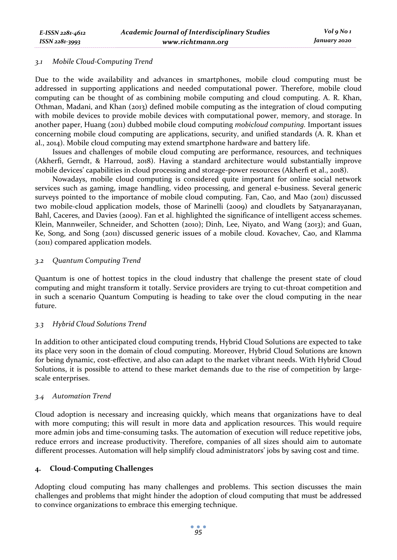## *3.1 Mobile Cloud-Computing Trend*

*E-ISSN 2281-4612 ISSN 2281-3993* 

Due to the wide availability and advances in smartphones, mobile cloud computing must be addressed in supporting applications and needed computational power. Therefore, mobile cloud computing can be thought of as combining mobile computing and cloud computing. A. R. Khan, Othman, Madani, and Khan (2013) defined mobile computing as the integration of cloud computing with mobile devices to provide mobile devices with computational power, memory, and storage. In another paper, Huang (2011) dubbed mobile cloud computing *mobicloud computing.* Important issues concerning mobile cloud computing are applications, security, and unified standards (A. R. Khan et al., 2014). Mobile cloud computing may extend smartphone hardware and battery life.

Issues and challenges of mobile cloud computing are performance, resources, and techniques (Akherfi, Gerndt, & Harroud, 2018). Having a standard architecture would substantially improve mobile devices' capabilities in cloud processing and storage-power resources (Akherfi et al., 2018).

Nowadays, mobile cloud computing is considered quite important for online social network services such as gaming, image handling, video processing, and general e-business. Several generic surveys pointed to the importance of mobile cloud computing. Fan, Cao, and Mao (2011) discussed two mobile-cloud application models, those of Marinelli (2009) and cloudlets by Satyanarayanan, Bahl, Caceres, and Davies (2009). Fan et al. highlighted the significance of intelligent access schemes. Klein, Mannweiler, Schneider, and Schotten (2010); Dinh, Lee, Niyato, and Wang (2013); and Guan, Ke, Song, and Song (2011) discussed generic issues of a mobile cloud. Kovachev, Cao, and Klamma (2011) compared application models.

## *3.2 Quantum Computing Trend*

Quantum is one of hottest topics in the cloud industry that challenge the present state of cloud computing and might transform it totally. Service providers are trying to cut-throat competition and in such a scenario Quantum Computing is heading to take over the cloud computing in the near future.

# *3.3 Hybrid Cloud Solutions Trend*

In addition to other anticipated cloud computing trends, Hybrid Cloud Solutions are expected to take its place very soon in the domain of cloud computing. Moreover, Hybrid Cloud Solutions are known for being dynamic, cost-effective, and also can adapt to the market vibrant needs. With Hybrid Cloud Solutions, it is possible to attend to these market demands due to the rise of competition by largescale enterprises.

### *3.4 Automation Trend*

Cloud adoption is necessary and increasing quickly, which means that organizations have to deal with more computing; this will result in more data and application resources. This would require more admin jobs and time-consuming tasks. The automation of execution will reduce repetitive jobs, reduce errors and increase productivity. Therefore, companies of all sizes should aim to automate different processes. Automation will help simplify cloud administrators' jobs by saving cost and time.

# **4. Cloud-Computing Challenges**

Adopting cloud computing has many challenges and problems. This section discusses the main challenges and problems that might hinder the adoption of cloud computing that must be addressed to convince organizations to embrace this emerging technique.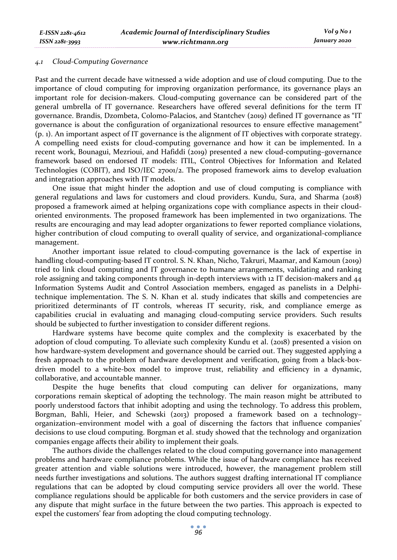Past and the current decade have witnessed a wide adoption and use of cloud computing. Due to the importance of cloud computing for improving organization performance, its governance plays an important role for decision-makers. Cloud-computing governance can be considered part of the general umbrella of IT governance. Researchers have offered several definitions for the term IT governance. Brandis, Dzombeta, Colomo-Palacios, and Stantchev (2019) defined IT governance as "IT governance is about the configuration of organizational resources to ensure effective management" (p. 1). An important aspect of IT governance is the alignment of IT objectives with corporate strategy. A compelling need exists for cloud-computing governance and how it can be implemented. In a recent work, Bounagui, Mezrioui, and Hafiddi (2019) presented a new cloud-computing–governance framework based on endorsed IT models: ITIL, Control Objectives for Information and Related Technologies (COBIT), and ISO/IEC 27001/2. The proposed framework aims to develop evaluation and integration approaches with IT models.

One issue that might hinder the adoption and use of cloud computing is compliance with general regulations and laws for customers and cloud providers. Kundu, Sura, and Sharma (2018) proposed a framework aimed at helping organizations cope with compliance aspects in their cloudoriented environments. The proposed framework has been implemented in two organizations. The results are encouraging and may lead adopter organizations to fewer reported compliance violations, higher contribution of cloud computing to overall quality of service, and organizational-compliance management.

Another important issue related to cloud-computing governance is the lack of expertise in handling cloud-computing-based IT control. S. N. Khan, Nicho, Takruri, Maamar, and Kamoun (2019) tried to link cloud computing and IT governance to humane arrangements, validating and ranking role assigning and taking components through in-depth interviews with 12 IT decision-makers and 44 Information Systems Audit and Control Association members, engaged as panelists in a Delphitechnique implementation. The S. N. Khan et al. study indicates that skills and competencies are prioritized determinants of IT controls, whereas IT security, risk, and compliance emerge as capabilities crucial in evaluating and managing cloud-computing service providers. Such results should be subjected to further investigation to consider different regions.

Hardware systems have become quite complex and the complexity is exacerbated by the adoption of cloud computing. To alleviate such complexity Kundu et al. (2018) presented a vision on how hardware-system development and governance should be carried out. They suggested applying a fresh approach to the problem of hardware development and verification, going from a black-boxdriven model to a white-box model to improve trust, reliability and efficiency in a dynamic, collaborative, and accountable manner.

Despite the huge benefits that cloud computing can deliver for organizations, many corporations remain skeptical of adopting the technology. The main reason might be attributed to poorly understood factors that inhibit adopting and using the technology. To address this problem, Borgman, Bahli, Heier, and Schewski (2013) proposed a framework based on a technology– organization–environment model with a goal of discerning the factors that influence companies' decisions to use cloud computing. Borgman et al. study showed that the technology and organization companies engage affects their ability to implement their goals.

The authors divide the challenges related to the cloud computing governance into management problems and hardware compliance problems. While the issue of hardware compliance has received greater attention and viable solutions were introduced, however, the management problem still needs further investigations and solutions. The authors suggest drafting international IT compliance regulations that can be adopted by cloud computing service providers all over the world. These compliance regulations should be applicable for both customers and the service providers in case of any dispute that might surface in the future between the two parties. This approach is expected to expel the customers' fear from adopting the cloud computing technology.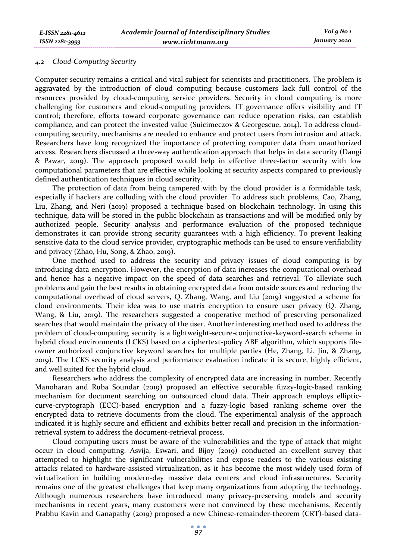### *4.2 Cloud-Computing Security*

Computer security remains a critical and vital subject for scientists and practitioners. The problem is aggravated by the introduction of cloud computing because customers lack full control of the resources provided by cloud-computing service providers. Security in cloud computing is more challenging for customers and cloud-computing providers. IT governance offers visibility and IT control; therefore, efforts toward corporate governance can reduce operation risks, can establish compliance, and can protect the invested value (Suicimeczov & Georgescue, 2014). To address cloudcomputing security, mechanisms are needed to enhance and protect users from intrusion and attack. Researchers have long recognized the importance of protecting computer data from unauthorized access. Researchers discussed a three-way authentication approach that helps in data security (Dangi & Pawar, 2019). The approach proposed would help in effective three-factor security with low computational parameters that are effective while looking at security aspects compared to previously defined authentication techniques in cloud security.

The protection of data from being tampered with by the cloud provider is a formidable task, especially if hackers are colluding with the cloud provider. To address such problems, Cao, Zhang, Liu, Zhang, and Neri (2019) proposed a technique based on blockchain technology. In using this technique, data will be stored in the public blockchain as transactions and will be modified only by authorized people. Security analysis and performance evaluation of the proposed technique demonstrates it can provide strong security guarantees with a high efficiency. To prevent leaking sensitive data to the cloud service provider, cryptographic methods can be used to ensure verifiability and privacy (Zhao, Hu, Song, & Zhao, 2019).

One method used to address the security and privacy issues of cloud computing is by introducing data encryption. However, the encryption of data increases the computational overhead and hence has a negative impact on the speed of data searches and retrieval. To alleviate such problems and gain the best results in obtaining encrypted data from outside sources and reducing the computational overhead of cloud servers, Q. Zhang, Wang, and Liu (2019) suggested a scheme for cloud environments. Their idea was to use matrix encryption to ensure user privacy (Q. Zhang, Wang, & Liu, 2019). The researchers suggested a cooperative method of preserving personalized searches that would maintain the privacy of the user. Another interesting method used to address the problem of cloud-computing security is a lightweight-secure-conjunctive-keyword-search scheme in hybrid cloud environments (LCKS) based on a ciphertext-policy ABE algorithm, which supports fileowner authorized conjunctive keyword searches for multiple parties (He, Zhang, Li, Jin, & Zhang, 2019). The LCKS security analysis and performance evaluation indicate it is secure, highly efficient, and well suited for the hybrid cloud.

Researchers who address the complexity of encrypted data are increasing in number. Recently Manoharan and Ruba Soundar (2019) proposed an effective securable fuzzy-logic-based ranking mechanism for document searching on outsourced cloud data. Their approach employs ellipticcurve-cryptograph (ECC)-based encryption and a fuzzy-logic based ranking scheme over the encrypted data to retrieve documents from the cloud. The experimental analysis of the approach indicated it is highly secure and efficient and exhibits better recall and precision in the informationretrieval system to address the document-retrieval process.

Cloud computing users must be aware of the vulnerabilities and the type of attack that might occur in cloud computing. Asvija, Eswari, and Bijoy (2019) conducted an excellent survey that attempted to highlight the significant vulnerabilities and expose readers to the various existing attacks related to hardware-assisted virtualization, as it has become the most widely used form of virtualization in building modern-day massive data centers and cloud infrastructures. Security remains one of the greatest challenges that keep many organizations from adopting the technology. Although numerous researchers have introduced many privacy-preserving models and security mechanisms in recent years, many customers were not convinced by these mechanisms. Recently Prabhu Kavin and Ganapathy (2019) proposed a new Chinese-remainder-theorem (CRT)-based data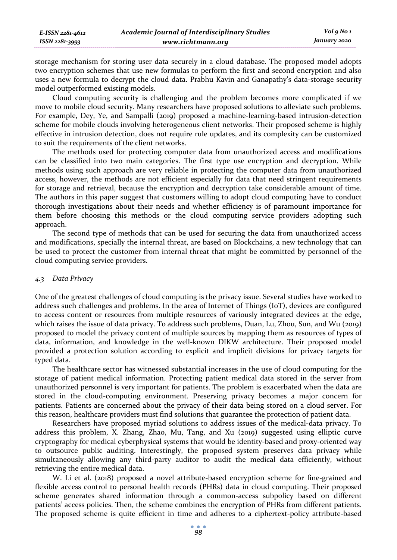storage mechanism for storing user data securely in a cloud database. The proposed model adopts two encryption schemes that use new formulas to perform the first and second encryption and also uses a new formula to decrypt the cloud data. Prabhu Kavin and Ganapathy's data-storage security model outperformed existing models.

Cloud computing security is challenging and the problem becomes more complicated if we move to mobile cloud security. Many researchers have proposed solutions to alleviate such problems. For example, Dey, Ye, and Sampalli (2019) proposed a machine-learning-based intrusion-detection scheme for mobile clouds involving heterogeneous client networks. Their proposed scheme is highly effective in intrusion detection, does not require rule updates, and its complexity can be customized to suit the requirements of the client networks.

The methods used for protecting computer data from unauthorized access and modifications can be classified into two main categories. The first type use encryption and decryption. While methods using such approach are very reliable in protecting the computer data from unauthorized access, however, the methods are not efficient especially for data that need stringent requirements for storage and retrieval, because the encryption and decryption take considerable amount of time. The authors in this paper suggest that customers willing to adopt cloud computing have to conduct thorough investigations about their needs and whether efficiency is of paramount importance for them before choosing this methods or the cloud computing service providers adopting such approach.

The second type of methods that can be used for securing the data from unauthorized access and modifications, specially the internal threat, are based on Blockchains, a new technology that can be used to protect the customer from internal threat that might be committed by personnel of the cloud computing service providers.

#### *4.3 Data Privacy*

One of the greatest challenges of cloud computing is the privacy issue. Several studies have worked to address such challenges and problems. In the area of Internet of Things (IoT), devices are configured to access content or resources from multiple resources of variously integrated devices at the edge, which raises the issue of data privacy. To address such problems, Duan, Lu, Zhou, Sun, and Wu (2019) proposed to model the privacy content of multiple sources by mapping them as resources of types of data, information, and knowledge in the well-known DIKW architecture. Their proposed model provided a protection solution according to explicit and implicit divisions for privacy targets for typed data.

The healthcare sector has witnessed substantial increases in the use of cloud computing for the storage of patient medical information. Protecting patient medical data stored in the server from unauthorized personnel is very important for patients. The problem is exacerbated when the data are stored in the cloud-computing environment. Preserving privacy becomes a major concern for patients. Patients are concerned about the privacy of their data being stored on a cloud server. For this reason, healthcare providers must find solutions that guarantee the protection of patient data.

Researchers have proposed myriad solutions to address issues of the medical-data privacy. To address this problem, X. Zhang, Zhao, Mu, Tang, and Xu (2019) suggested using elliptic curve cryptography for medical cyberphysical systems that would be identity-based and proxy-oriented way to outsource public auditing. Interestingly, the proposed system preserves data privacy while simultaneously allowing any third-party auditor to audit the medical data efficiently, without retrieving the entire medical data.

W. Li et al. (2018) proposed a novel attribute-based encryption scheme for fine-grained and flexible access control to personal health records (PHRs) data in cloud computing. Their proposed scheme generates shared information through a common-access subpolicy based on different patients' access policies. Then, the scheme combines the encryption of PHRs from different patients. The proposed scheme is quite efficient in time and adheres to a ciphertext-policy attribute-based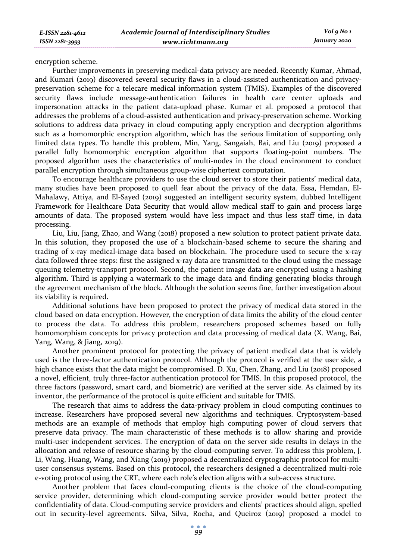encryption scheme.

Further improvements in preserving medical-data privacy are needed. Recently Kumar, Ahmad, and Kumari (2019) discovered several security flaws in a cloud-assisted authentication and privacypreservation scheme for a telecare medical information system (TMIS). Examples of the discovered security flaws include message-authentication failures in health care center uploads and impersonation attacks in the patient data-upload phase. Kumar et al. proposed a protocol that addresses the problems of a cloud-assisted authentication and privacy-preservation scheme. Working solutions to address data privacy in cloud computing apply encryption and decryption algorithms such as a homomorphic encryption algorithm, which has the serious limitation of supporting only limited data types. To handle this problem, Min, Yang, Sangaiah, Bai, and Liu (2019) proposed a parallel fully homomorphic encryption algorithm that supports floating-point numbers. The proposed algorithm uses the characteristics of multi-nodes in the cloud environment to conduct parallel encryption through simultaneous group-wise ciphertext computation.

To encourage healthcare providers to use the cloud server to store their patients' medical data, many studies have been proposed to quell fear about the privacy of the data. Essa, Hemdan, El-Mahalawy, Attiya, and El-Sayed (2019) suggested an intelligent security system, dubbed Intelligent Framework for Healthcare Data Security that would allow medical staff to gain and process large amounts of data. The proposed system would have less impact and thus less staff time, in data processing.

Liu, Liu, Jiang, Zhao, and Wang (2018) proposed a new solution to protect patient private data. In this solution, they proposed the use of a blockchain-based scheme to secure the sharing and trading of x-ray medical-image data based on blockchain. The procedure used to secure the x-ray data followed three steps: first the assigned x-ray data are transmitted to the cloud using the message queuing telemetry-transport protocol. Second, the patient image data are encrypted using a hashing algorithm. Third is applying a watermark to the image data and finding generating blocks through the agreement mechanism of the block. Although the solution seems fine, further investigation about its viability is required.

Additional solutions have been proposed to protect the privacy of medical data stored in the cloud based on data encryption. However, the encryption of data limits the ability of the cloud center to process the data. To address this problem, researchers proposed schemes based on fully homomorphism concepts for privacy protection and data processing of medical data (X. Wang, Bai, Yang, Wang, & Jiang, 2019).

Another prominent protocol for protecting the privacy of patient medical data that is widely used is the three-factor authentication protocol. Although the protocol is verified at the user side, a high chance exists that the data might be compromised. D. Xu, Chen, Zhang, and Liu (2018) proposed a novel, efficient, truly three-factor authentication protocol for TMIS. In this proposed protocol, the three factors (password, smart card, and biometric) are verified at the server side. As claimed by its inventor, the performance of the protocol is quite efficient and suitable for TMIS.

The research that aims to address the data-privacy problem in cloud computing continues to increase. Researchers have proposed several new algorithms and techniques. Cryptosystem-based methods are an example of methods that employ high computing power of cloud servers that preserve data privacy. The main characteristic of these methods is to allow sharing and provide multi-user independent services. The encryption of data on the server side results in delays in the allocation and release of resource sharing by the cloud-computing server. To address this problem, J. Li, Wang, Huang, Wang, and Xiang (2019) proposed a decentralized cryptographic protocol for multiuser consensus systems. Based on this protocol, the researchers designed a decentralized multi-role e-voting protocol using the CRT, where each role's election aligns with a sub-access structure.

Another problem that faces cloud-computing clients is the choice of the cloud-computing service provider, determining which cloud-computing service provider would better protect the confidentiality of data. Cloud-computing service providers and clients' practices should align, spelled out in security-level agreements. Silva, Silva, Rocha, and Queiroz (2019) proposed a model to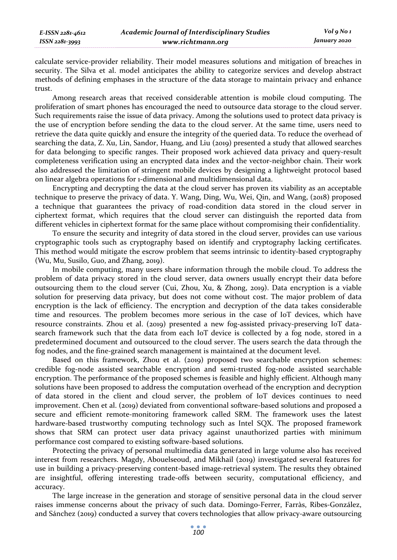calculate service-provider reliability. Their model measures solutions and mitigation of breaches in security. The Silva et al. model anticipates the ability to categorize services and develop abstract methods of defining emphases in the structure of the data storage to maintain privacy and enhance trust.

Among research areas that received considerable attention is mobile cloud computing. The proliferation of smart phones has encouraged the need to outsource data storage to the cloud server. Such requirements raise the issue of data privacy. Among the solutions used to protect data privacy is the use of encryption before sending the data to the cloud server. At the same time, users need to retrieve the data quite quickly and ensure the integrity of the queried data. To reduce the overhead of searching the data, Z. Xu, Lin, Sandor, Huang, and Liu (2019) presented a study that allowed searches for data belonging to specific ranges. Their proposed work achieved data privacy and query-result completeness verification using an encrypted data index and the vector-neighbor chain. Their work also addressed the limitation of stringent mobile devices by designing a lightweight protocol based on linear algebra operations for 1-dimensional and multidimensional data.

Encrypting and decrypting the data at the cloud server has proven its viability as an acceptable technique to preserve the privacy of data. Y. Wang, Ding, Wu, Wei, Qin, and Wang, (2018) proposed a technique that guarantees the privacy of road-condition data stored in the cloud server in ciphertext format, which requires that the cloud server can distinguish the reported data from different vehicles in ciphertext format for the same place without compromising their confidentiality.

To ensure the security and integrity of data stored in the cloud server, provides can use various cryptographic tools such as cryptography based on identify and cryptography lacking certificates. This method would mitigate the escrow problem that seems intrinsic to identity-based cryptography (Wu, Mu, Susilo, Guo, and Zhang, 2019).

In mobile computing, many users share information through the mobile cloud. To address the problem of data privacy stored in the cloud server, data owners usually encrypt their data before outsourcing them to the cloud server (Cui, Zhou, Xu, & Zhong, 2019). Data encryption is a viable solution for preserving data privacy, but does not come without cost. The major problem of data encryption is the lack of efficiency. The encryption and decryption of the data takes considerable time and resources. The problem becomes more serious in the case of IoT devices, which have resource constraints. Zhou et al. (2019) presented a new fog-assisted privacy-preserving IoT datasearch framework such that the data from each IoT device is collected by a fog node, stored in a predetermined document and outsourced to the cloud server. The users search the data through the fog nodes, and the fine-grained search management is maintained at the document level.

Based on this framework, Zhou et al. (2019) proposed two searchable encryption schemes: credible fog-node assisted searchable encryption and semi-trusted fog-node assisted searchable encryption. The performance of the proposed schemes is feasible and highly efficient. Although many solutions have been proposed to address the computation overhead of the encryption and decryption of data stored in the client and cloud server, the problem of IoT devices continues to need improvement. Chen et al. (2019) deviated from conventional software-based solutions and proposed a secure and efficient remote-monitoring framework called SRM. The framework uses the latest hardware-based trustworthy computing technology such as Intel SQX. The proposed framework shows that SRM can protect user data privacy against unauthorized parties with minimum performance cost compared to existing software-based solutions.

Protecting the privacy of personal multimedia data generated in large volume also has received interest from researchers. Magdy, Abouelseoud, and Mikhail (2019) investigated several features for use in building a privacy-preserving content-based image-retrieval system. The results they obtained are insightful, offering interesting trade-offs between security, computational efficiency, and accuracy.

The large increase in the generation and storage of sensitive personal data in the cloud server raises immense concerns about the privacy of such data. Domingo-Ferrer, Farràs, Ribes-González, and Sánchez (2019) conducted a survey that covers technologies that allow privacy-aware outsourcing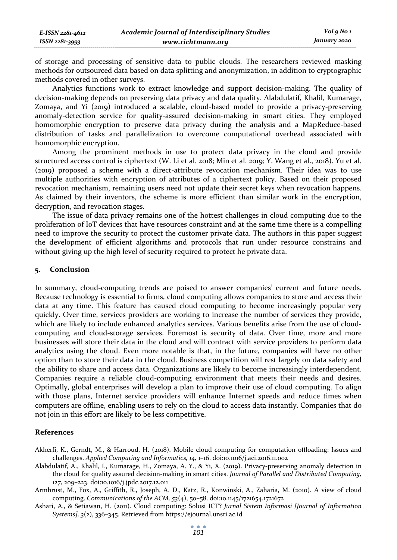of storage and processing of sensitive data to public clouds. The researchers reviewed masking methods for outsourced data based on data splitting and anonymization, in addition to cryptographic methods covered in other surveys.

Analytics functions work to extract knowledge and support decision-making. The quality of decision-making depends on preserving data privacy and data quality. Alabdulatif, Khalil, Kumarage, Zomaya, and Yi (2019) introduced a scalable, cloud-based model to provide a privacy-preserving anomaly-detection service for quality-assured decision-making in smart cities. They employed homomorphic encryption to preserve data privacy during the analysis and a MapReduce-based distribution of tasks and parallelization to overcome computational overhead associated with homomorphic encryption.

Among the prominent methods in use to protect data privacy in the cloud and provide structured access control is ciphertext (W. Li et al. 2018; Min et al. 2019; Y. Wang et al., 2018). Yu et al. (2019) proposed a scheme with a direct-attribute revocation mechanism. Their idea was to use multiple authorities with encryption of attributes of a ciphertext policy. Based on their proposed revocation mechanism, remaining users need not update their secret keys when revocation happens. As claimed by their inventors, the scheme is more efficient than similar work in the encryption, decryption, and revocation stages.

The issue of data privacy remains one of the hottest challenges in cloud computing due to the proliferation of IoT devices that have resources constraint and at the same time there is a compelling need to improve the security to protect the customer private data. The authors in this paper suggest the development of efficient algorithms and protocols that run under resource constrains and without giving up the high level of security required to protect he private data.

#### **5. Conclusion**

In summary, cloud-computing trends are poised to answer companies' current and future needs. Because technology is essential to firms, cloud computing allows companies to store and access their data at any time. This feature has caused cloud computing to become increasingly popular very quickly. Over time, services providers are working to increase the number of services they provide, which are likely to include enhanced analytics services. Various benefits arise from the use of cloudcomputing and cloud-storage services. Foremost is security of data. Over time, more and more businesses will store their data in the cloud and will contract with service providers to perform data analytics using the cloud. Even more notable is that, in the future, companies will have no other option than to store their data in the cloud. Business competition will rest largely on data safety and the ability to share and access data. Organizations are likely to become increasingly interdependent. Companies require a reliable cloud-computing environment that meets their needs and desires. Optimally, global enterprises will develop a plan to improve their use of cloud computing. To align with those plans, Internet service providers will enhance Internet speeds and reduce times when computers are offline, enabling users to rely on the cloud to access data instantly. Companies that do not join in this effort are likely to be less competitive.

#### **References**

- Akherfi, K., Gerndt, M., & Harroud, H. (2018). Mobile cloud computing for computation offloading: Issues and challenges. *Applied Computing and Informatics, 14,* 1–16. doi:10.1016/j.aci.2016.11.002
- Alabdulatif, A., Khalil, I., Kumarage, H., Zomaya, A. Y., & Yi, X. (2019). Privacy-preserving anomaly detection in the cloud for quality assured decision-making in smart cities. *Journal of Parallel and Distributed Computing, 127,* 209–223. doi:10.1016/j.jpdc.2017.12.011
- Armbrust, M., Fox, A., Griffith, R., Joseph, A. D., Katz, R., Konwinski, A., Zaharia, M. (2010). A view of cloud computing. *Communications of the ACM, 53*(4), 50–58. doi:10.1145/1721654.1721672
- Ashari, A., & Setiawan, H. (2011). Cloud computing: Solusi ICT? *Jurnal Sistem Informasi [Journal of Information Systems], 3*(2), 336–345. Retrieved from https://ejournal.unsri.ac.id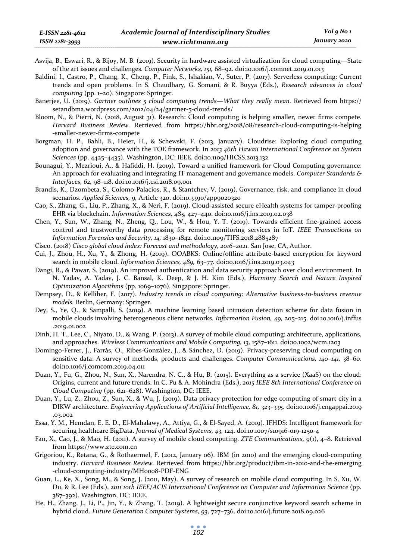*ISSN 2281-3993* 

- Asvija, B., Eswari, R., & Bijoy, M. B. (2019). Security in hardware assisted virtualization for cloud computing—State of the art issues and challenges. *Computer Networks, 151,* 68–92. doi:10.1016/j.comnet.2019.01.013
- Baldini, I., Castro, P., Chang, K., Cheng, P., Fink, S., Ishakian, V., Suter, P. (2017). Serverless computing: Current trends and open problems. In S. Chaudhary, G. Somani, & R. Buyya (Eds.), *Research advances in cloud computing* (pp. 1–20). Singapore: Springer.
- Banerjee, U. (2019). *Gartner outlines 5 cloud computing trends—What they really mean.* Retrieved from https:// setandbma.wordpress.com/2012/04/24/gartner-5-cloud-trends/
- Bloom, N., & Pierri, N. (2018, August 31). Research: Cloud computing is helping smaller, newer firms compete. *Harvard Business Review.* Retrieved from https://hbr.org/2018/08/research-cloud-computing-is-helping -smaller-newer-firms-compete
- Borgman, H. P., Bahli, B., Heier, H., & Schewski, F. (2013, January). Cloudrise: Exploring cloud computing adoption and governance with the TOE framework. In *2013 46th Hawaii International Conference on System Sciences* (pp. 4425–4435). Washington, DC: IEEE. doi:10.1109/HICSS.2013.132
- Bounagui, Y., Mezrioui, A., & Hafiddi, H. (2019). Toward a unified framework for Cloud Computing governance: An approach for evaluating and integrating IT management and governance models. *Computer Standards & Interfaces, 62,* 98–118. doi:10.1016/j.csi.2018.09.001
- Brandis, K., Dzombeta, S., Colomo-Palacios, R., & Stantchev, V. (2019). Governance, risk, and compliance in cloud scenarios. *Applied Sciences, 9,* Article 320. doi:10.3390/app9020320
- Cao, S., Zhang, G., Liu, P., Zhang, X., & Neri, F. (2019). Cloud-assisted secure eHealth systems for tamper-proofing EHR via blockchain. *Information Sciences, 485,* 427–440. doi:10.1016/j.ins.2019.02.038
- Chen, Y., Sun, W., Zhang, N., Zheng, Q., Lou, W., & Hou, Y. T. (2019). Towards efficient fine-grained access control and trustworthy data processing for remote monitoring services in IoT. *IEEE Transactions on Information Forensics and Security, 14,* 1830–1842*.* doi:10.1109/TIFS.2018.2885287
- Cisco. (2018) *Cisco global cloud index: Forecast and methodology, 2016–2021.* San Jose, CA, Author.
- Cui, J., Zhou, H., Xu, Y., & Zhong, H. (2019). OOABKS: Online/offline attribute-based encryption for keyword search in mobile cloud. *Information Sciences, 489,* 63–77*.* doi:10.1016/j.ins.2019.03.043
- Dangi, R., & Pawar, S. (2019). An improved authentication and data security approach over cloud environment. In N. Yadav, A. Yadav, J. C. Bansal, K. Deep, & J. H. Kim (Eds.), *Harmony Search and Nature Inspired Optimization Algorithms* (pp. 1069–1076). Singapore: Springer.
- Dempsey, D., & Kelliher, F. (2017). *Industry trends in cloud computing: Alternative business-to-business revenue models.* Berlin, Germany: Springer.
- Dey, S., Ye, Q., & Sampalli, S. (2019). A machine learning based intrusion detection scheme for data fusion in mobile clouds involving heterogeneous client networks. *Information Fusion, 49,* 205–215. doi:10.1016/j.inffus .2019.01.002
- Dinh, H. T., Lee, C., Niyato, D., & Wang, P. (2013). A survey of mobile cloud computing: architecture, applications, and approaches. *Wireless Communications and Mobile Computing, 13,* 1587–1611. doi:10.1002/wcm.1203
- Domingo-Ferrer, J., Farràs, O., Ribes-González, J., & Sánchez, D. (2019). Privacy-preserving cloud computing on sensitive data: A survey of methods, products and challenges. *Computer Communications, 140–141,* 38–60. doi:10.1016/j.comcom.2019.04.011
- Duan, Y., Fu, G., Zhou, N., Sun, X., Narendra, N. C., & Hu, B. (2015). Everything as a service (XaaS) on the cloud: Origins, current and future trends. In C. Pu & A. Mohindra (Eds.), *2015 IEEE 8th International Conference on Cloud Computing* (pp. 621–628). Washington, DC: IEEE.
- Duan, Y., Lu, Z., Zhou, Z., Sun, X., & Wu, J. (2019). Data privacy protection for edge computing of smart city in a DIKW architecture. *Engineering Applications of Artificial Intelligence, 81,* 323–335. doi:10.1016/j.engappai.2019 .03.002
- Essa, Y. M., Hemdan, E. E. D., El-Mahalawy, A., Attiya, G., & El-Sayed, A. (2019). IFHDS: Intelligent framework for securing healthcare BigData. *Journal of Medical Systems, 43,* 124. doi:10.1007/s10916-019-1250-4
- Fan, X., Cao, J., & Mao, H. (2011). A survey of mobile cloud computing. *ZTE Communications, 9*(1), 4–8. Retrieved from https://www.zte.com.cn
- Grigoriou, K., Retana, G., & Rothaermel, F. (2012, January 06). IBM (in 2010) and the emerging cloud-computing industry. *Harvard Business Review.* Retrieved from https://hbr.org/product/ibm-in-2010-and-the-emerging -cloud-computing-industry/MH0008-PDF-ENG
- Guan, L., Ke, X., Song, M., & Song, J. (2011, May). A survey of research on mobile cloud computing. In S. Xu, W. Du, & R. Lee (Eds.), *2011 10th IEEE/ACIS International Conference on Computer and Information Science* (pp. 387–392). Washington, DC: IEEE.
- He, H., Zhang, J., Li, P., Jin, Y., & Zhang, T. (2019). A lightweight secure conjunctive keyword search scheme in hybrid cloud. *Future Generation Computer Systems, 93,* 727–736. doi:10.1016/j.future.2018.09.026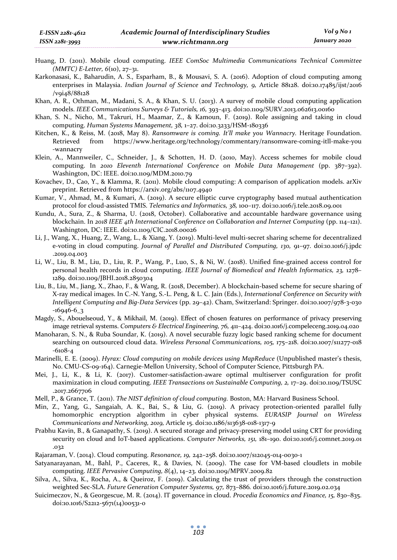- *(MMTC) E-Letter, 6*(10), 27–31. Karkonasasi, K., Baharudin, A. S., Esparham, B., & Mousavi, S. A. (2016). Adoption of cloud computing among enterprises in Malaysia. *Indian Journal of Science and Technology, 9,* Article 88128. doi:10.17485/ijst/2016 /v9i48/88128
- Khan, A. R., Othman, M., Madani, S. A., & Khan, S. U. (2013). A survey of mobile cloud computing application models. *IEEE Communications Surveys & Tutorials, 16,* 393–413. doi:10.1109/SURV.2013.062613.00160
- Khan, S. N., Nicho, M., Takruri, H., Maamar, Z., & Kamoun, F. (2019). Role assigning and taking in cloud computing. *Human Systems Management, 38,* 1–27. doi:10.3233/HSM-180336
- Kitchen, K., & Reiss, M. (2018, May 8). *Ransomware is coming. It'll make you Wannacry.* Heritage Foundation. Retrieved from https://www.heritage.org/technology/commentary/ransomware-coming-itll-make-you -wannacry
- Klein, A., Mannweiler, C., Schneider, J., & Schotten, H. D. (2010, May). Access schemes for mobile cloud computing. In *2010 Eleventh International Conference on Mobile Data Management* (pp. 387–392). Washington, DC: IEEE. doi:10.1109/MDM.2010.79
- Kovachev, D., Cao, Y., & Klamma, R. (2011). Mobile cloud computing: A comparison of application models. arXiv preprint. Retrieved from https://arxiv.org/abs/1107.4940
- Kumar, V., Ahmad, M., & Kumari, A. (2019). A secure elliptic curve cryptography based mutual authentication protocol for cloud-assisted TMIS. *Telematics and Informatics, 38,* 100–117. doi:10.1016/j.tele.2018.09.001
- Kundu, A., Sura, Z., & Sharma, U. (2018, October). Collaborative and accountable hardware governance using blockchain. In *2018 IEEE 4th International Conference on Collaboration and Internet Computing* (pp. 114–121). Washington, DC: IEEE. doi:10.1109/CIC.2018.00026
- Li, J., Wang, X., Huang, Z., Wang, L., & Xiang, Y. (2019). Multi-level multi-secret sharing scheme for decentralized e-voting in cloud computing. *Journal of Parallel and Distributed Computing, 130,* 91–97. doi:10.1016/j.jpdc .2019.04.003
- Li, W., Liu, B. M., Liu, D., Liu, R. P., Wang, P., Luo, S., & Ni, W. (2018). Unified fine-grained access control for personal health records in cloud computing. *IEEE Journal of Biomedical and Health Informatics, 23,* 1278– 1289. doi:10.1109/JBHI.2018.2850304
- Liu, B., Liu, M., Jiang, X., Zhao, F., & Wang, R. (2018, December). A blockchain-based scheme for secure sharing of X-ray medical images. In C.-N. Yang, S.-L. Peng, & L. C. Jain (Eds.), *International Conference on Security with Intelligent Computing and Big-Data Services* (pp. 29–42). Cham, Switzerland: Springer. doi:10.1007/978-3-030 -16946-6\_3
- Magdy, S., Abouelseoud, Y., & Mikhail, M. (2019). Effect of chosen features on performance of privacy preserving image retrieval systems. *Computers & Electrical Engineering, 76,* 411–424. doi:10.1016/j.compeleceng.2019.04.020
- Manoharan, S. N., & Ruba Soundar, K. (2019). A novel securable fuzzy logic based ranking scheme for document searching on outsourced cloud data. *Wireless Personal Communications, 105,* 175–218. doi:10.1007/s11277-018 -6108-4
- Marinelli, E. E. (2009). *Hyrax: Cloud computing on mobile devices using MapReduce* (Unpublished master's thesis, No. CMU-CS-09-164). Carnegie-Mellon University, School of Computer Science, Pittsburgh PA.
- Mei, J., Li, K., & Li, K. (2017). Customer-satisfaction-aware optimal multiserver configuration for profit maximization in cloud computing. *IEEE Transactions on Sustainable Computing, 2,* 17–29. doi:10.1109/TSUSC .2017.2667706
- Mell, P., & Grance, T. (2011). *The NIST definition of cloud computing.* Boston, MA: Harvard Business School.
- Min, Z., Yang, G., Sangaiah, A. K., Bai, S., & Liu, G. (2019). A privacy protection-oriented parallel fully homomorphic encryption algorithm in cyber physical systems. *EURASIP Journal on Wireless Communications and Networking, 2019,* Article 15. doi:10.1186/s13638-018-1317-9
- Prabhu Kavin, B., & Ganapathy, S. (2019). A secured storage and privacy-preserving model using CRT for providing security on cloud and IoT-based applications. *Computer Networks, 151,* 181–190. doi:10.1016/j.comnet.2019.01 .032
- Rajaraman, V. (2014). Cloud computing. *Resonance, 19,* 242–258. doi:10.1007/s12045-014-0030-1
- Satyanarayanan, M., Bahl, P., Caceres, R., & Davies, N. (2009). The case for VM-based cloudlets in mobile computing. *IEEE Pervasive Computing, 8*(4), 14–23. doi:10.1109/MPRV.2009.82
- Silva, A., Silva, K., Rocha, A., & Queiroz, F. (2019). Calculating the trust of providers through the construction weighted Sec-SLA. *Future Generation Computer Systems, 97,* 873–886*.* doi:10.1016/j.future.2019.02.034
- Suicimeczov, N., & Georgescue, M. R. (2014). IT governance in cloud. *Procedia Economics and Finance, 15,* 830–835. doi:10.1016/S2212-5671(14)00531-0